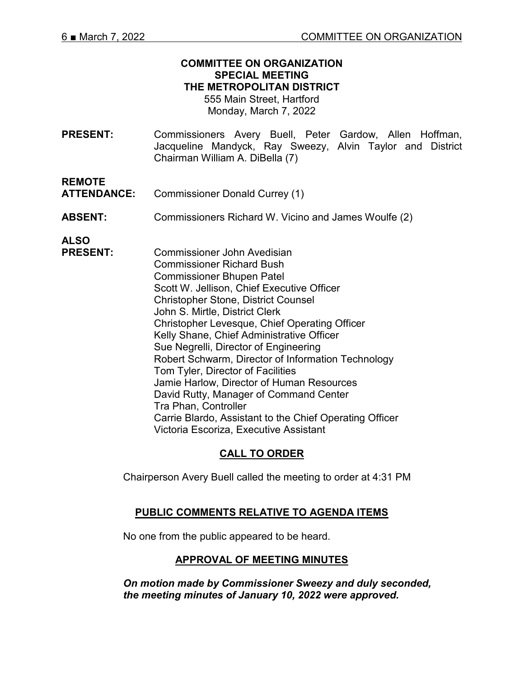#### **COMMITTEE ON ORGANIZATION SPECIAL MEETING THE METROPOLITAN DISTRICT**

555 Main Street, Hartford Monday, March 7, 2022

**PRESENT:** Commissioners Avery Buell, Peter Gardow, Allen Hoffman, Jacqueline Mandyck, Ray Sweezy, Alvin Taylor and District Chairman William A. DiBella (7)

**REMOTE** 

**ATTENDANCE:** Commissioner Donald Currey (1)

**ABSENT:** Commissioners Richard W. Vicino and James Woulfe (2)

**ALSO**

**PRESENT:** Commissioner John Avedisian Commissioner Richard Bush Commissioner Bhupen Patel Scott W. Jellison, Chief Executive Officer Christopher Stone, District Counsel John S. Mirtle, District Clerk Christopher Levesque, Chief Operating Officer Kelly Shane, Chief Administrative Officer Sue Negrelli, Director of Engineering Robert Schwarm, Director of Information Technology Tom Tyler, Director of Facilities Jamie Harlow, Director of Human Resources David Rutty, Manager of Command Center Tra Phan, Controller Carrie Blardo, Assistant to the Chief Operating Officer Victoria Escoriza, Executive Assistant

# **CALL TO ORDER**

Chairperson Avery Buell called the meeting to order at 4:31 PM

### **PUBLIC COMMENTS RELATIVE TO AGENDA ITEMS**

No one from the public appeared to be heard.

### **APPROVAL OF MEETING MINUTES**

*On motion made by Commissioner Sweezy and duly seconded, the meeting minutes of January 10, 2022 were approved.*